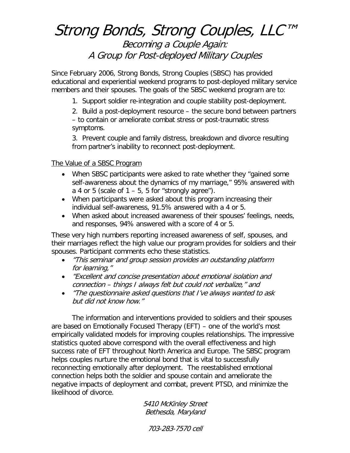# Strong Bonds, Strong Couples, LLC™

### Becoming a Couple Again: A Group for Post-deployed Military Couples

Since February 2006, Strong Bonds, Strong Couples (SBSC) has provided educational and experiential weekend programs to post-deployed military service members and their spouses. The goals of the SBSC weekend program are to:

1. Support soldier re-integration and couple stability post-deployment.

2. Build a post-deployment resource – the secure bond between partners – to contain or ameliorate combat stress or post-traumatic stress symptoms.

3. Prevent couple and family distress, breakdown and divorce resulting from partner's inability to reconnect post-deployment.

### The Value of a SBSC Program

- When SBSC participants were asked to rate whether they "gained some self-awareness about the dynamics of my marriage," 95% answered with a 4 or 5 (scale of  $1 - 5$ , 5 for "strongly agree").
- When participants were asked about this program increasing their individual self-awareness, 91.5% answered with a 4 or 5.
- When asked about increased awareness of their spouses' feelings, needs, and responses, 94% answered with a score of 4 or 5.

These very high numbers reporting increased awareness of self, spouses, and their marriages reflect the high value our program provides for soldiers and their spouses. Participant comments echo these statistics.

- "This seminar and group session provides an outstanding platform for learning,"
- "Excellent and concise presentation about emotional isolation and connection – things I always felt but could not verbalize," and
- "The questionnaire asked questions that I've always wanted to ask but did not know how."

The information and interventions provided to soldiers and their spouses are based on Emotionally Focused Therapy (EFT) – one of the world's most empirically validated models for improving couples relationships. The impressive statistics quoted above correspond with the overall effectiveness and high success rate of EFT throughout North America and Europe. The SBSC program helps couples nurture the emotional bond that is vital to successfully reconnecting emotionally after deployment. The reestablished emotional connection helps both the soldier and spouse contain and ameliorate the negative impacts of deployment and combat, prevent PTSD, and minimize the likelihood of divorce.

> 5410 McKinley Street Bethesda, Maryland

703-283-7570 cell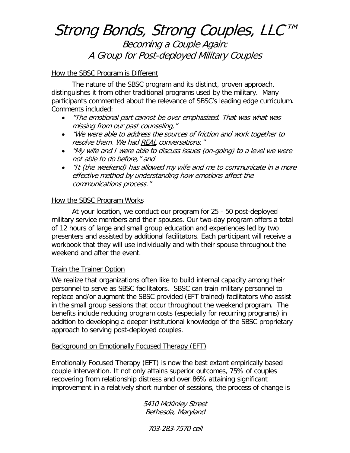# Strong Bonds, Strong Couples, LLC™

Becoming a Couple Again: A Group for Post-deployed Military Couples

### How the SBSC Program is Different

The nature of the SBSC program and its distinct, proven approach, distinguishes it from other traditional programs used by the military. Many participants commented about the relevance of SBSC's leading edge curriculum. Comments included:

- "The emotional part cannot be over emphasized. That was what was missing from our past counseling,"
- "We were able to address the sources of friction and work together to resolve them. We had REAL conversations,"
- "My wife and I were able to discuss issues (on-going) to a level we were not able to do before," and
- "It (the weekend) has allowed my wife and me to communicate in a more effective method by understanding how emotions affect the communications process."

### **How the SBSC Program Works**

At your location, we conduct our program for 25 - 50 post-deployed military service members and their spouses. Our two-day program offers a total of 12 hours of large and small group education and experiences led by two presenters and assisted by additional facilitators. Each participant will receive a workbook that they will use individually and with their spouse throughout the weekend and after the event.

#### Train the Trainer Option

We realize that organizations often like to build internal capacity among their personnel to serve as SBSC facilitators. SBSC can train military personnel to replace and/or augment the SBSC provided (EFT trained) facilitators who assist in the small group sessions that occur throughout the weekend program. The benefits include reducing program costs (especially for recurring programs) in addition to developing a deeper institutional knowledge of the SBSC proprietary approach to serving post-deployed couples.

#### Background on Emotionally Focused Therapy (EFT)

Emotionally Focused Therapy (EFT) is now the best extant empirically based couple intervention. It not only attains superior outcomes, 75% of couples recovering from relationship distress and over 86% attaining significant improvement in a relatively short number of sessions, the process of change is

> 5410 McKinley Street Bethesda, Maryland

703-283-7570 cell